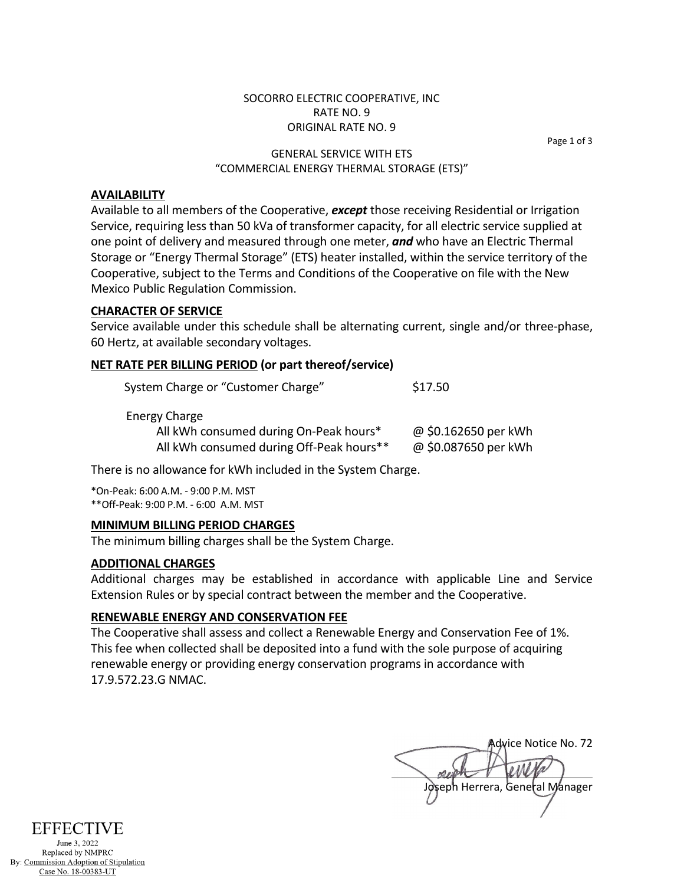### SOCORRO ELECTRIC COOPERATIVE, INC RATE NO. 9 ORIGINAL RATE NO. 9

Page 1 of 3

### GENERAL SERVICE WITH ETS "COMMERCIAL ENERGY THERMAL STORAGE (ETS)"

# **AVAILABILITY**

Available to all members of the Cooperative, *except* those receiving Residential or Irrigation Service, requiring less than 50 kVa of transformer capacity, for all electric service supplied at one point of delivery and measured through one meter, *and* who have an Electric Thermal Storage or "Energy Thermal Storage" (ETS) heater installed, within the service territory of the Cooperative, subject to the Terms and Conditions of the Cooperative on file with the New Mexico Public Regulation Commission.

#### **CHARACTER OF SERVICE**

Service available under this schedule shall be alternating current, single and/or three-phase, 60 Hertz, at available secondary voltages.

# **NET RATE PER BILLING PERIOD (or part thereof/service)**

| System Charge or "Customer Charge"       | \$17.50              |
|------------------------------------------|----------------------|
| <b>Energy Charge</b>                     |                      |
| All kWh consumed during On-Peak hours*   | @ \$0.162650 per kWh |
| All kWh consumed during Off-Peak hours** | @ \$0.087650 per kWh |

There is no allowance for kWh included in the System Charge.

\*On-Peak: 6:00 A.M. - 9:00 P.M. MST \*\*Off-Peak: 9:00 P.M. - 6:00 A.M. MST

#### **MINIMUM BILLING PERIOD CHARGES**

The minimum billing charges shall be the System Charge.

#### **ADDITIONAL CHARGES**

Additional charges may be established in accordance with applicable Line and Service Extension Rules or by special contract between the member and the Cooperative.

# **RENEWABLE ENERGY AND CONSERVATION FEE**

The Cooperative shall assess and collect a Renewable Energy and Conservation Fee of 1%. This fee when collected shall be deposited into a fund with the sole purpose of acquiring renewable energy or providing energy conservation programs in accordance with 17.9.572.23.G NMAC.

Advice Notice No. 72 Joseph Herrera, General Manager



Replaced by NMPRC By: Commission Adoption of Stipulation Case No. 18-00383-UT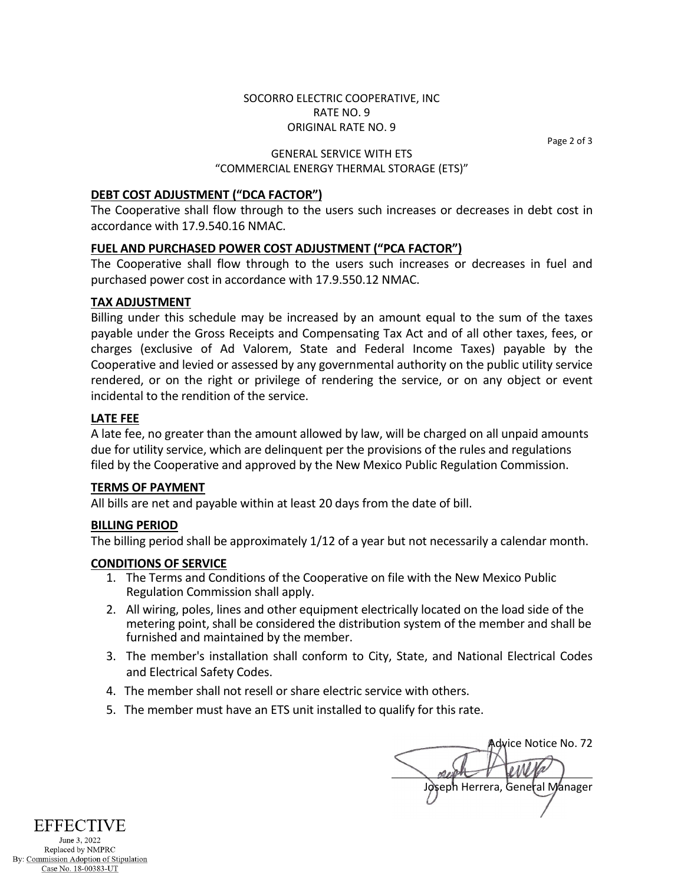# SOCORRO ELECTRIC COOPERATIVE, INC RATE NO. 9 ORIGINAL RATE NO. 9

Page 2 of 3

### GENERAL SERVICE WITH ETS "COMMERCIAL ENERGY THERMAL STORAGE (ETS)"

# **DEBT COST ADJUSTMENT ("DCA FACTOR")**

The Cooperative shall flow through to the users such increases or decreases in debt cost in accordance with 17.9.540.16 NMAC.

# **FUEL AND PURCHASED POWER COST ADJUSTMENT ("PCA FACTOR")**

The Cooperative shall flow through to the users such increases or decreases in fuel and purchased power cost in accordance with 17.9.550.12 NMAC.

#### **TAX ADJUSTMENT**

Billing under this schedule may be increased by an amount equal to the sum of the taxes payable under the Gross Receipts and Compensating Tax Act and of all other taxes, fees, or charges (exclusive of Ad Valorem, State and Federal Income Taxes) payable by the Cooperative and levied or assessed by any governmental authority on the public utility service rendered, or on the right or privilege of rendering the service, or on any object or event incidental to the rendition of the service.

# **LATE FEE**

A late fee, no greater than the amount allowed by law, will be charged on all unpaid amounts due for utility service, which are delinquent per the provisions of the rules and regulations filed by the Cooperative and approved by the New Mexico Public Regulation Commission.

#### **TERMS OF PAYMENT**

All bills are net and payable within at least 20 days from the date of bill.

### **BILLING PERIOD**

The billing period shall be approximately 1/12 of a year but not necessarily a calendar month.

#### **CONDITIONS OF SERVICE**

- 1. The Terms and Conditions of the Cooperative on file with the New Mexico Public Regulation Commission shall apply.
- 2. All wiring, poles, lines and other equipment electrically located on the load side of the metering point, shall be considered the distribution system of the member and shall be furnished and maintained by the member.
- 3. The member's installation shall conform to City, State, and National Electrical Codes and Electrical Safety Codes.
- 4. The member shall not resell or share electric service with others.
- 5. The member must have an ETS unit installed to qualify for this rate.

Advice Notice No. 72 Joseph Herrera, General Manager